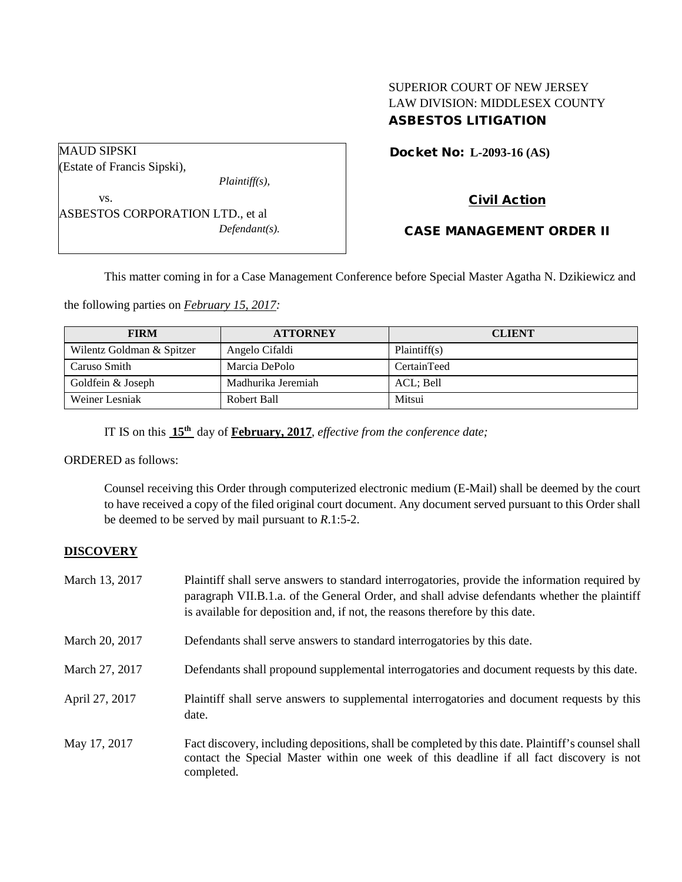# SUPERIOR COURT OF NEW JERSEY LAW DIVISION: MIDDLESEX COUNTY ASBESTOS LITIGATION

Docket No: **L-2093-16 (AS)** 

*Plaintiff(s),*

ASBESTOS CORPORATION LTD., et al *Defendant(s).*

# Civil Action

# CASE MANAGEMENT ORDER II

This matter coming in for a Case Management Conference before Special Master Agatha N. Dzikiewicz and

the following parties on *February 15, 2017:*

| <b>FIRM</b>               | <b>ATTORNEY</b>    | <b>CLIENT</b> |
|---------------------------|--------------------|---------------|
| Wilentz Goldman & Spitzer | Angelo Cifaldi     | Plaintiff(s)  |
| Caruso Smith              | Marcia DePolo      | CertainTeed   |
| Goldfein & Joseph         | Madhurika Jeremiah | ACL: Bell     |
| Weiner Lesniak            | Robert Ball        | Mitsui        |

IT IS on this **15th** day of **February, 2017**, *effective from the conference date;*

ORDERED as follows:

Counsel receiving this Order through computerized electronic medium (E-Mail) shall be deemed by the court to have received a copy of the filed original court document. Any document served pursuant to this Order shall be deemed to be served by mail pursuant to *R*.1:5-2.

## **DISCOVERY**

MAUD SIPSKI

vs.

(Estate of Francis Sipski),

| March 13, 2017 | Plaintiff shall serve answers to standard interrogatories, provide the information required by<br>paragraph VII.B.1.a. of the General Order, and shall advise defendants whether the plaintiff<br>is available for deposition and, if not, the reasons therefore by this date. |
|----------------|--------------------------------------------------------------------------------------------------------------------------------------------------------------------------------------------------------------------------------------------------------------------------------|
| March 20, 2017 | Defendants shall serve answers to standard interrogatories by this date.                                                                                                                                                                                                       |
| March 27, 2017 | Defendants shall propound supplemental interrogatories and document requests by this date.                                                                                                                                                                                     |
| April 27, 2017 | Plaintiff shall serve answers to supplemental interrogatories and document requests by this<br>date.                                                                                                                                                                           |
| May 17, 2017   | Fact discovery, including depositions, shall be completed by this date. Plaintiff's counsel shall<br>contact the Special Master within one week of this deadline if all fact discovery is not<br>completed.                                                                    |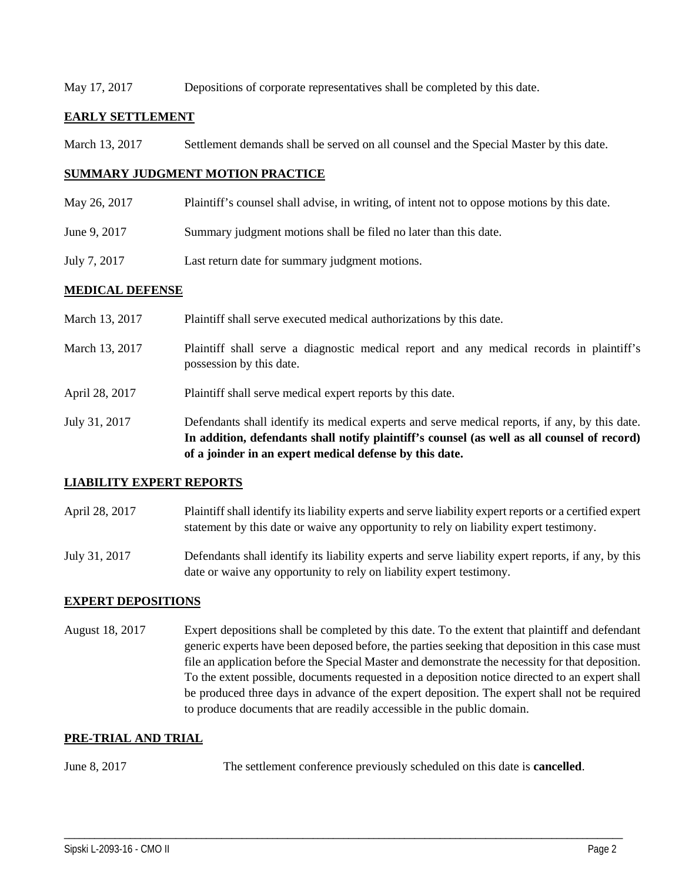### May 17, 2017 Depositions of corporate representatives shall be completed by this date.

## **EARLY SETTLEMENT**

March 13, 2017 Settlement demands shall be served on all counsel and the Special Master by this date.

### **SUMMARY JUDGMENT MOTION PRACTICE**

- May 26, 2017 Plaintiff's counsel shall advise, in writing, of intent not to oppose motions by this date.
- June 9, 2017 Summary judgment motions shall be filed no later than this date.
- July 7, 2017 Last return date for summary judgment motions.

### **MEDICAL DEFENSE**

|                | In addition, defendants shall notify plaintiff's counsel (as well as all counsel of record)<br>of a joinder in an expert medical defense by this date. |
|----------------|--------------------------------------------------------------------------------------------------------------------------------------------------------|
| July 31, 2017  | Defendants shall identify its medical experts and serve medical reports, if any, by this date.                                                         |
| April 28, 2017 | Plaintiff shall serve medical expert reports by this date.                                                                                             |
| March 13, 2017 | Plaintiff shall serve a diagnostic medical report and any medical records in plaintiff's<br>possession by this date.                                   |
| March 13, 2017 | Plaintiff shall serve executed medical authorizations by this date.                                                                                    |

### **LIABILITY EXPERT REPORTS**

- April 28, 2017 Plaintiff shall identify its liability experts and serve liability expert reports or a certified expert statement by this date or waive any opportunity to rely on liability expert testimony.
- July 31, 2017 Defendants shall identify its liability experts and serve liability expert reports, if any, by this date or waive any opportunity to rely on liability expert testimony.

### **EXPERT DEPOSITIONS**

August 18, 2017 Expert depositions shall be completed by this date. To the extent that plaintiff and defendant generic experts have been deposed before, the parties seeking that deposition in this case must file an application before the Special Master and demonstrate the necessity for that deposition. To the extent possible, documents requested in a deposition notice directed to an expert shall be produced three days in advance of the expert deposition. The expert shall not be required to produce documents that are readily accessible in the public domain.

## **PRE-TRIAL AND TRIAL**

June 8, 2017 The settlement conference previously scheduled on this date is **cancelled**.

\_\_\_\_\_\_\_\_\_\_\_\_\_\_\_\_\_\_\_\_\_\_\_\_\_\_\_\_\_\_\_\_\_\_\_\_\_\_\_\_\_\_\_\_\_\_\_\_\_\_\_\_\_\_\_\_\_\_\_\_\_\_\_\_\_\_\_\_\_\_\_\_\_\_\_\_\_\_\_\_\_\_\_\_\_\_\_\_\_\_\_\_\_\_\_\_\_\_\_\_\_\_\_\_\_\_\_\_\_\_